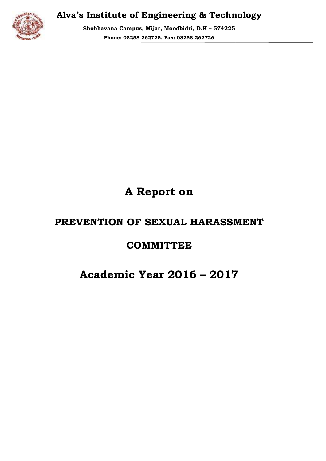

Shobhavana Campus, Mijar, Moodbidri, D.K D.K – 574225 Phone: 08258 08258-262725, Fax: 08258-262726

# A Report on

## PREVENTION OF SEXUAL HARASSMENT

## **COMMITTEE**

## Academic Year 2016 – 2017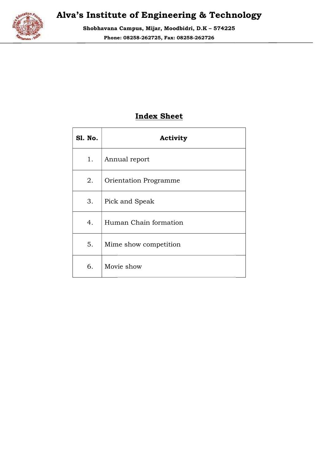

Shobhavana Campus, Mijar, Moodbidri, D.K D.K – 574225 Phone: 08258 08258-262725, Fax: 08258-262726

### Index Sheet

| <b>S1. No.</b> | Activity              |
|----------------|-----------------------|
| 1.             | Annual report         |
| 2.             | Orientation Programme |
| 3.             | Pick and Speak        |
| 4.             | Human Chain formation |
| 5.             | Mime show competition |
| 6.             | Movie show            |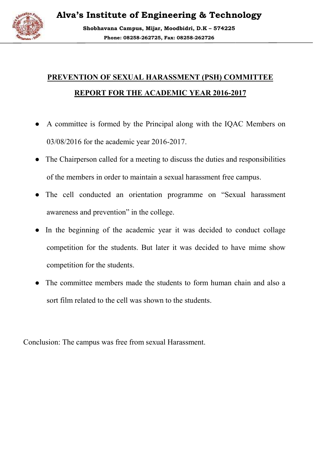

Shobhavana Campus, Mijar, Moodbidri, D.K D.K – 574225 Phone: 08258 08258-262725, Fax: 08258-262726

# PREVENTION OF SEXUAL HARASSMENT (PSH) COMMITTEE REPORT FOR THE ACADEMIC YEAR 2016 2016-2017

- A committee is formed by the Principal along with the IQAC Members on A committee is formed by the Principal alon<br>03/08/2016 for the academic year 2016-2017.
- The Chairperson called for a meeting to discuss the duties and responsibilities of the members in order to maintain a sexual harassment free campus.
- The cell conducted an orientation programme on "Sexual harassment awareness and prevention" in the college. awareness and prevention" in the college.
- In the beginning of the academic year it was decided to conduct collage competition for the students. But later it was decided to have mime show competition for the students. **REPORT FOR THE ACADEMIC YEAR 2016-2017**<br>A committee is formed by the Principal along with the IQAC Members on<br>03/08/2016 for the academic year 2016-2017.<br>The Chairperson called for a meeting to discuss the duties and resp
- The committee members made the students to form human chain and also a sort film related to the cell was shown to the students.

Conclusion: The campus was free from sexual Harassment.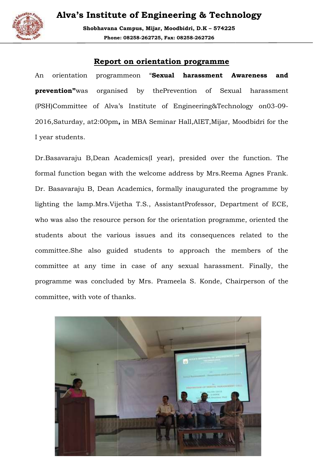

Shobhavana Campus, Mijar, Moodbidri, D.K D.K – 574225 Phone: 08258 08258-262725, Fax: 08258-262726

### Report on orientation programme

An orientation programmeon **prevention**"was organised by thePrevention of Sexual harassment (PSH)Committee of Alva's Institute of Engineering&Technology 2016,Saturday, at2:00pm, in MBA Seminar Hall,AIET,Mijar, Moodbidri for the I year students. "Sexual harassment Awareness and

Dr.Basavaraju B,Dean Academics(I year), presided over the function. The formal function began with the welcome address by Mrs.Reema Agnes Frank. Dr. Basavaraju B, Dean Academics, formally inaugurated the programme by lighting the lamp.Mrs.Vijetha T.S., AssistantProfessor, Department of ECE, who was also the resource person for the orientation programme, oriented the students about the various issues and its consequences related to the committee. She also guided students to approach the members of the committee at any time in case of any sexual harassment. Finally, the programme was concluded by Mrs. Prameela S. Konde, Chairperson of the committee, with vote of thanks. mittee of Alva's Institute of Engineering&Technology on03-09-<br>rday, at2:00pm, in MBA Seminar Hall,AIET,Mijar, Moodbidri for the<br>lents.<br>raju B,Dean Academics(I year), presided over the function. The<br>ction began with the wel resided over the f<br>ess by Mrs.Reema<br>inaugurated the professor, Departm<br>tation programme,<br>consequences re<br>pproach the mem<br>xual harassment.

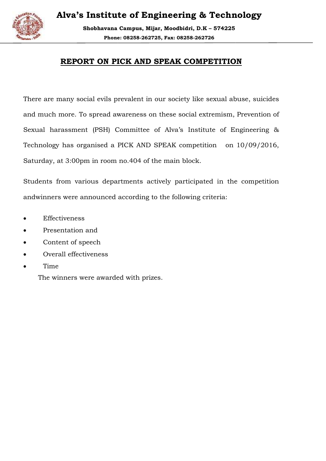

Shobhavana Campus, Mijar, Moodbidri, D.K D.K – 574225 Phone: 08258 08258-262725, Fax: 08258-262726

### REPORT ON PICK AND SPEAK COMPETITION

There are many social evils prevalent in our society like sexual abuse, suicides and much more. To spread awareness on these social extremism, Prevention of Sexual harassment (PSH) Committee of Alva's Institute of Engineering & Technology has organised a P PICK AND SPEAK competition on 10/09/2016, Saturday, at 3:00pm in room no.404 of the main block. There are many social evils prevalent in our society like sexual abuse, suicides<br>and much more. To spread awareness on these social extremism, Prevention of<br>Sexual harassment (PSH) Committee of Alva's Institute of Engineer

Students from various departments actively participated in the competition andwinners were announced according to the following criteria: Technology has organised a PICK AND SPEAK competition on 10/09/2016,<br>
Saturday, at 3:00pm in room no.404 of the main block.<br>
Students from various departments actively participated in the competition<br>
andwinners were annou

- Effectiveness
- Presentation and
- Content of speech
- Overall effectiveness
- Time

The winners were awarded with prizes.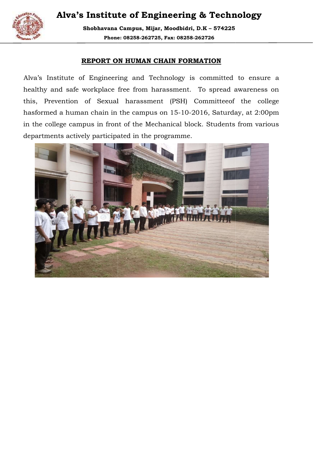

Shobhavana Campus, Mijar, Moodbidri, D.K D.K – 574225 Phone: 08258 08258-262725, Fax: 08258-262726

#### REPORT ON HUMAN CHAIN FORMATION

Alva's Institute of Engineering and Technology is committed to ensure a healthy and safe workplace free from harassment. To spread awareness on this, Prevention of Sexual harassment (PSH) hasformed a human chain in the campus on 15-10-2016, Saturday, at 2:00pm in the college campus in front of the Mechanical block. Students from various departments actively participated in the programme. Institute of Engineering and Technology is committed to ensure a<br>and safe workplace free from harassment. To spread awareness on<br>Prevention of Sexual harassment (PSH) Committeeof the college ssment (PSH) Committeeof<br>npus on 15-10-2016, Saturda<br>e Mechanical block. Students<br>the programme.

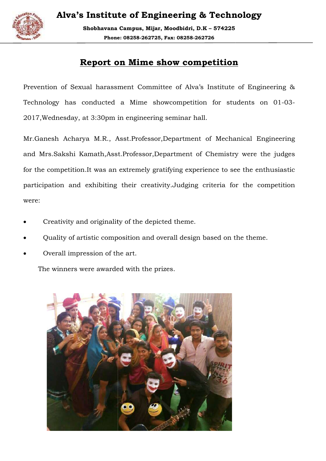

Shobhavana Campus, Mijar, Moodbidri, D.K D.K – 574225 Phone: 08258 08258-262725, Fax: 08258-262726

## Report on Mime show competition

Prevention of Sexual harassment Committee of Alva's Institute of Engineering & Technology has conducted a Mime showcompetition for students on 01 2017,Wednesday, at 3:30pm in engineering seminar hall.

Mr.Ganesh Acharya M.R., Asst.Professor,Department of Mechanical Engineering and Mrs.Sakshi Kamath,Asst.Professor,Department of Chemistry were the judges for the competition.It was an extremely gratifying experience to see the enthusiastic participation and exhibiting their creativity.Judging criteria for the competition were: ednesday, at 3:30pm in engineering seminar hall.<br>esh Acharya M.R., Asst.Professor,Department of Mechanical<br>s.Sakshi Kamath,Asst.Professor,Department of Chemistry were<br>competition.It was an extremely gratifying experience t nology has conducted a Mime showcompetition for students on 01-03-<br>7.Wednesday, at 3:30pm in engineering seminar hall.<br>
Manesh Acharya M.R., Asst.Professor,Department of Mechanical Engineering<br>
Mrs.Sakshi Kamath,Asst.Profe

- Creativity and originality of the depicted theme
- Quality of artistic composition and overall design based on the theme.
- Overall impression of the art.

The winners were awarded with the prizes.